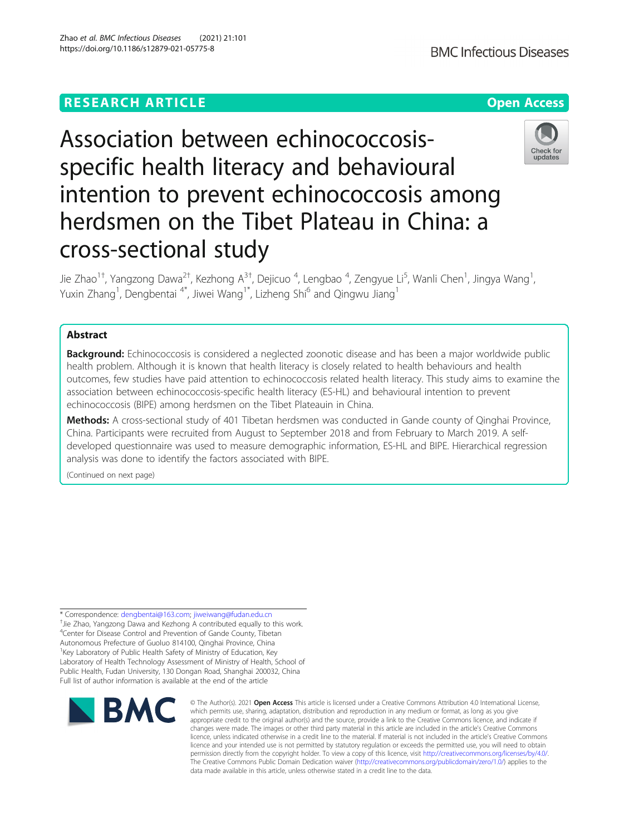## **RESEARCH ARTICLE Example 2014 12:30 The Contract of Contract ACCESS**

# Association between echinococcosisspecific health literacy and behavioural intention to prevent echinococcosis among herdsmen on the Tibet Plateau in China: a cross-sectional study

Jie Zhao<sup>1†</sup>, Yangzong Dawa<sup>2†</sup>, Kezhong A<sup>3†</sup>, Dejicuo <sup>4</sup>, Lengbao <sup>4</sup>, Zengyue Li<sup>5</sup>, Wanli Chen<sup>1</sup>, Jingya Wang<sup>1</sup> , Yuxin Zhang<sup>1</sup>, Dengbentai <sup>4\*</sup>, Jiwei Wang<sup>1\*</sup>, Lizheng Shi<sup>6</sup> and Qingwu Jiang<sup>1</sup>

## Abstract

**Background:** Echinococcosis is considered a neglected zoonotic disease and has been a major worldwide public health problem. Although it is known that health literacy is closely related to health behaviours and health outcomes, few studies have paid attention to echinococcosis related health literacy. This study aims to examine the association between echinococcosis-specific health literacy (ES-HL) and behavioural intention to prevent echinococcosis (BIPE) among herdsmen on the Tibet Plateauin in China.

Methods: A cross-sectional study of 401 Tibetan herdsmen was conducted in Gande county of Qinghai Province, China. Participants were recruited from August to September 2018 and from February to March 2019. A selfdeveloped questionnaire was used to measure demographic information, ES-HL and BIPE. Hierarchical regression analysis was done to identify the factors associated with BIPE.

(Continued on next page)

\* Correspondence: [dengbentai@163.com;](mailto:dengbentai@163.com) [jiweiwang@fudan.edu.cn](mailto:jiweiwang@fudan.edu.cn) † <sup>+</sup>Jie Zhao, Yangzong Dawa and Kezhong A contributed equally to this work. 4 Center for Disease Control and Prevention of Gande County, Tibetan Autonomous Prefecture of Guoluo 814100, Qinghai Province, China <sup>1</sup> Key Laboratory of Public Health Safety of Ministry of Education, Key Laboratory of Health Technology Assessment of Ministry of Health, School of Public Health, Fudan University, 130 Dongan Road, Shanghai 200032, China Full list of author information is available at the end of the article

**BMC** 

© The Author(s), 2021 **Open Access** This article is licensed under a Creative Commons Attribution 4.0 International License, which permits use, sharing, adaptation, distribution and reproduction in any medium or format, as long as you give appropriate credit to the original author(s) and the source, provide a link to the Creative Commons licence, and indicate if changes were made. The images or other third party material in this article are included in the article's Creative Commons licence, unless indicated otherwise in a credit line to the material. If material is not included in the article's Creative Commons licence and your intended use is not permitted by statutory regulation or exceeds the permitted use, you will need to obtain permission directly from the copyright holder. To view a copy of this licence, visit [http://creativecommons.org/licenses/by/4.0/.](http://creativecommons.org/licenses/by/4.0/) The Creative Commons Public Domain Dedication waiver [\(http://creativecommons.org/publicdomain/zero/1.0/](http://creativecommons.org/publicdomain/zero/1.0/)) applies to the data made available in this article, unless otherwise stated in a credit line to the data.



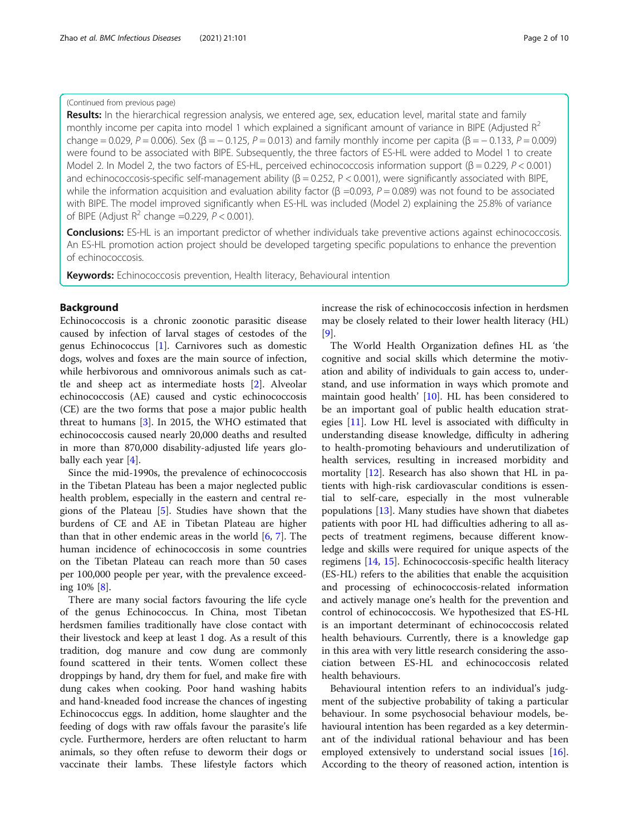#### (Continued from previous page)

Results: In the hierarchical regression analysis, we entered age, sex, education level, marital state and family monthly income per capita into model 1 which explained a significant amount of variance in BIPE (Adjusted  $R^2$ change = 0.029, P = 0.006). Sex (β = - 0.125, P = 0.013) and family monthly income per capita (β = - 0.133, P = 0.009) were found to be associated with BIPE. Subsequently, the three factors of ES-HL were added to Model 1 to create Model 2. In Model 2, the two factors of ES-HL, perceived echinococcosis information support (β = 0.229,  $P$  < 0.001) and echinococcosis-specific self-management ability ( $\beta$  = 0.252, P < 0.001), were significantly associated with BIPE, while the information acquisition and evaluation ability factor (β =0.093,  $P$  = 0.089) was not found to be associated with BIPE. The model improved significantly when ES-HL was included (Model 2) explaining the 25.8% of variance of BIPE (Adjust  $R^2$  change =0.229,  $P < 0.001$ ).

**Conclusions:** ES-HL is an important predictor of whether individuals take preventive actions against echinococcosis. An ES-HL promotion action project should be developed targeting specific populations to enhance the prevention of echinococcosis.

Keywords: Echinococcosis prevention, Health literacy, Behavioural intention

#### Background

Echinococcosis is a chronic zoonotic parasitic disease caused by infection of larval stages of cestodes of the genus Echinococcus [\[1](#page-8-0)]. Carnivores such as domestic dogs, wolves and foxes are the main source of infection, while herbivorous and omnivorous animals such as cattle and sheep act as intermediate hosts [\[2](#page-8-0)]. Alveolar echinococcosis (AE) caused and cystic echinococcosis (CE) are the two forms that pose a major public health threat to humans [\[3](#page-8-0)]. In 2015, the WHO estimated that echinococcosis caused nearly 20,000 deaths and resulted in more than 870,000 disability-adjusted life years globally each year [\[4](#page-8-0)].

Since the mid-1990s, the prevalence of echinococcosis in the Tibetan Plateau has been a major neglected public health problem, especially in the eastern and central regions of the Plateau [[5\]](#page-8-0). Studies have shown that the burdens of CE and AE in Tibetan Plateau are higher than that in other endemic areas in the world [[6,](#page-8-0) [7\]](#page-8-0). The human incidence of echinococcosis in some countries on the Tibetan Plateau can reach more than 50 cases per 100,000 people per year, with the prevalence exceeding 10% [\[8](#page-8-0)].

There are many social factors favouring the life cycle of the genus Echinococcus. In China, most Tibetan herdsmen families traditionally have close contact with their livestock and keep at least 1 dog. As a result of this tradition, dog manure and cow dung are commonly found scattered in their tents. Women collect these droppings by hand, dry them for fuel, and make fire with dung cakes when cooking. Poor hand washing habits and hand-kneaded food increase the chances of ingesting Echinococcus eggs. In addition, home slaughter and the feeding of dogs with raw offals favour the parasite's life cycle. Furthermore, herders are often reluctant to harm animals, so they often refuse to deworm their dogs or vaccinate their lambs. These lifestyle factors which increase the risk of echinococcosis infection in herdsmen may be closely related to their lower health literacy (HL) [[9\]](#page-8-0).

The World Health Organization defines HL as 'the cognitive and social skills which determine the motivation and ability of individuals to gain access to, understand, and use information in ways which promote and maintain good health' [[10\]](#page-8-0). HL has been considered to be an important goal of public health education strategies [[11\]](#page-8-0). Low HL level is associated with difficulty in understanding disease knowledge, difficulty in adhering to health-promoting behaviours and underutilization of health services, resulting in increased morbidity and mortality [\[12\]](#page-8-0). Research has also shown that HL in patients with high-risk cardiovascular conditions is essential to self-care, especially in the most vulnerable populations [[13\]](#page-8-0). Many studies have shown that diabetes patients with poor HL had difficulties adhering to all aspects of treatment regimens, because different knowledge and skills were required for unique aspects of the regimens [\[14](#page-8-0), [15](#page-8-0)]. Echinococcosis-specific health literacy (ES-HL) refers to the abilities that enable the acquisition and processing of echinococcosis-related information and actively manage one's health for the prevention and control of echinococcosis. We hypothesized that ES-HL is an important determinant of echinococcosis related health behaviours. Currently, there is a knowledge gap in this area with very little research considering the association between ES-HL and echinococcosis related health behaviours.

Behavioural intention refers to an individual's judgment of the subjective probability of taking a particular behaviour. In some psychosocial behaviour models, behavioural intention has been regarded as a key determinant of the individual rational behaviour and has been employed extensively to understand social issues [\[16](#page-8-0)]. According to the theory of reasoned action, intention is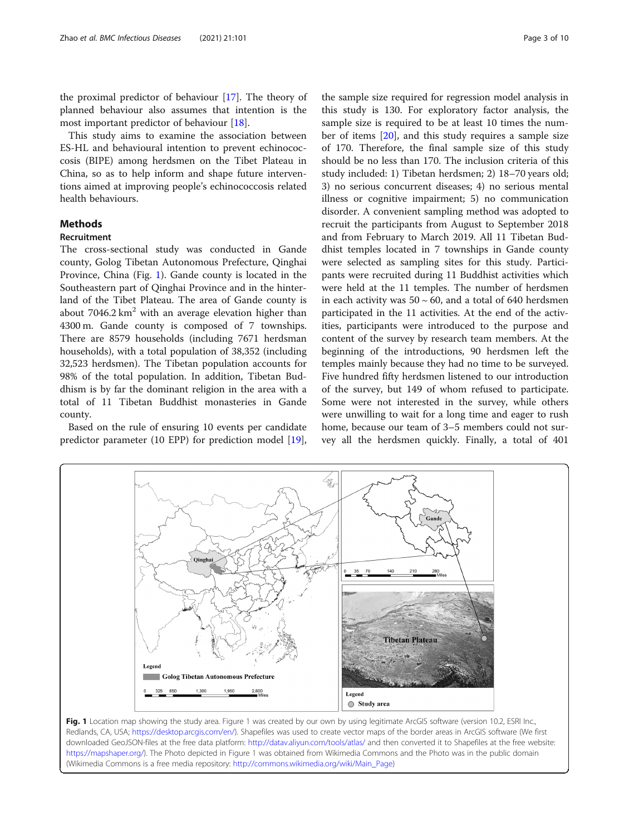the proximal predictor of behaviour [[17\]](#page-8-0). The theory of planned behaviour also assumes that intention is the most important predictor of behaviour [\[18](#page-8-0)].

This study aims to examine the association between ES-HL and behavioural intention to prevent echinococcosis (BIPE) among herdsmen on the Tibet Plateau in China, so as to help inform and shape future interventions aimed at improving people's echinococcosis related health behaviours.

## **Methods**

## Recruitment

The cross-sectional study was conducted in Gande county, Golog Tibetan Autonomous Prefecture, Qinghai Province, China (Fig. 1). Gande county is located in the Southeastern part of Qinghai Province and in the hinterland of the Tibet Plateau. The area of Gande county is about  $7046.2 \text{ km}^2$  with an average elevation higher than 4300 m. Gande county is composed of 7 townships. There are 8579 households (including 7671 herdsman households), with a total population of 38,352 (including 32,523 herdsmen). The Tibetan population accounts for 98% of the total population. In addition, Tibetan Buddhism is by far the dominant religion in the area with a total of 11 Tibetan Buddhist monasteries in Gande county.

Based on the rule of ensuring 10 events per candidate predictor parameter (10 EPP) for prediction model [\[19](#page-8-0)],

the sample size required for regression model analysis in this study is 130. For exploratory factor analysis, the sample size is required to be at least 10 times the number of items [[20\]](#page-8-0), and this study requires a sample size of 170. Therefore, the final sample size of this study should be no less than 170. The inclusion criteria of this study included: 1) Tibetan herdsmen; 2) 18–70 years old; 3) no serious concurrent diseases; 4) no serious mental illness or cognitive impairment; 5) no communication disorder. A convenient sampling method was adopted to recruit the participants from August to September 2018 and from February to March 2019. All 11 Tibetan Buddhist temples located in 7 townships in Gande county were selected as sampling sites for this study. Participants were recruited during 11 Buddhist activities which were held at the 11 temples. The number of herdsmen in each activity was  $50 \sim 60$ , and a total of 640 herdsmen participated in the 11 activities. At the end of the activities, participants were introduced to the purpose and content of the survey by research team members. At the beginning of the introductions, 90 herdsmen left the temples mainly because they had no time to be surveyed. Five hundred fifty herdsmen listened to our introduction of the survey, but 149 of whom refused to participate. Some were not interested in the survey, while others were unwilling to wait for a long time and eager to rush home, because our team of 3–5 members could not survey all the herdsmen quickly. Finally, a total of 401



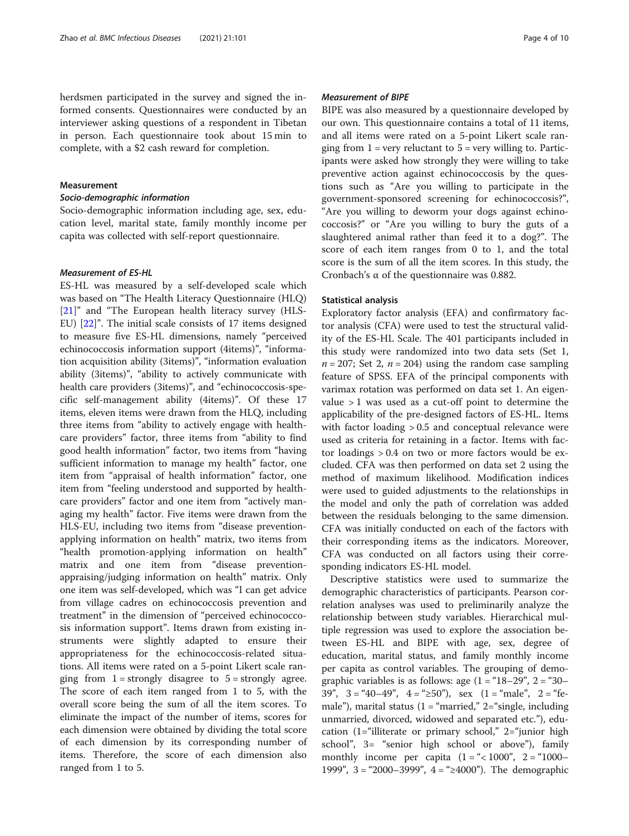herdsmen participated in the survey and signed the informed consents. Questionnaires were conducted by an interviewer asking questions of a respondent in Tibetan in person. Each questionnaire took about 15 min to complete, with a \$2 cash reward for completion.

## Measurement

#### Socio-demographic information

Socio-demographic information including age, sex, education level, marital state, family monthly income per capita was collected with self-report questionnaire.

#### Measurement of ES-HL

ES-HL was measured by a self-developed scale which was based on "The Health Literacy Questionnaire (HLQ) [[21\]](#page-8-0)" and "The European health literacy survey (HLS-EU) [[22\]](#page-8-0)". The initial scale consists of 17 items designed to measure five ES-HL dimensions, namely "perceived echinococcosis information support (4items)", "information acquisition ability (3items)", "information evaluation ability (3items)", "ability to actively communicate with health care providers (3items)", and "echinococcosis-specific self-management ability (4items)". Of these 17 items, eleven items were drawn from the HLQ, including three items from "ability to actively engage with healthcare providers" factor, three items from "ability to find good health information" factor, two items from "having sufficient information to manage my health" factor, one item from "appraisal of health information" factor, one item from "feeling understood and supported by healthcare providers" factor and one item from "actively managing my health" factor. Five items were drawn from the HLS-EU, including two items from "disease preventionapplying information on health" matrix, two items from "health promotion-applying information on health" matrix and one item from "disease preventionappraising/judging information on health" matrix. Only one item was self-developed, which was "I can get advice from village cadres on echinococcosis prevention and treatment" in the dimension of "perceived echinococcosis information support". Items drawn from existing instruments were slightly adapted to ensure their appropriateness for the echinococcosis-related situations. All items were rated on a 5-point Likert scale ranging from  $1 =$  strongly disagree to  $5 =$  strongly agree. The score of each item ranged from 1 to 5, with the overall score being the sum of all the item scores. To eliminate the impact of the number of items, scores for each dimension were obtained by dividing the total score of each dimension by its corresponding number of items. Therefore, the score of each dimension also ranged from 1 to 5.

#### Measurement of BIPE

BIPE was also measured by a questionnaire developed by our own. This questionnaire contains a total of 11 items, and all items were rated on a 5-point Likert scale ranging from  $1 = \text{very}$  reluctant to  $5 = \text{very}$  willing to. Participants were asked how strongly they were willing to take preventive action against echinococcosis by the questions such as "Are you willing to participate in the government-sponsored screening for echinococcosis?", "Are you willing to deworm your dogs against echinococcosis?" or "Are you willing to bury the guts of a slaughtered animal rather than feed it to a dog?". The score of each item ranges from 0 to 1, and the total score is the sum of all the item scores. In this study, the Cronbach's α of the questionnaire was 0.882.

#### Statistical analysis

Exploratory factor analysis (EFA) and confirmatory factor analysis (CFA) were used to test the structural validity of the ES-HL Scale. The 401 participants included in this study were randomized into two data sets (Set 1,  $n = 207$ ; Set 2,  $n = 204$ ) using the random case sampling feature of SPSS. EFA of the principal components with varimax rotation was performed on data set 1. An eigenvalue  $> 1$  was used as a cut-off point to determine the applicability of the pre-designed factors of ES-HL. Items with factor loading > 0.5 and conceptual relevance were used as criteria for retaining in a factor. Items with factor loadings > 0.4 on two or more factors would be excluded. CFA was then performed on data set 2 using the method of maximum likelihood. Modification indices were used to guided adjustments to the relationships in the model and only the path of correlation was added between the residuals belonging to the same dimension. CFA was initially conducted on each of the factors with their corresponding items as the indicators. Moreover, CFA was conducted on all factors using their corresponding indicators ES-HL model.

Descriptive statistics were used to summarize the demographic characteristics of participants. Pearson correlation analyses was used to preliminarily analyze the relationship between study variables. Hierarchical multiple regression was used to explore the association between ES-HL and BIPE with age, sex, degree of education, marital status, and family monthly income per capita as control variables. The grouping of demographic variables is as follows: age  $(1 = 18-29)$ ",  $2 = 30-1$  $39"$ ,  $3 = 40-49"$ ,  $4 = 250"$ , sex  $(1 = 40)$ ;  $2 = 40$ male"), marital status  $(1 - \text{``married'' } 2 = \text{``single, including})$ unmarried, divorced, widowed and separated etc."), education (1="illiterate or primary school," 2="junior high school", 3= "senior high school or above"), family monthly income per capita  $(1 = \frac{1}{2} \times 1000^{\circ})$ ,  $2 = \frac{1000 - 1000}{\circ}$ 1999", 3= "2000–3999", 4= "≥4000"). The demographic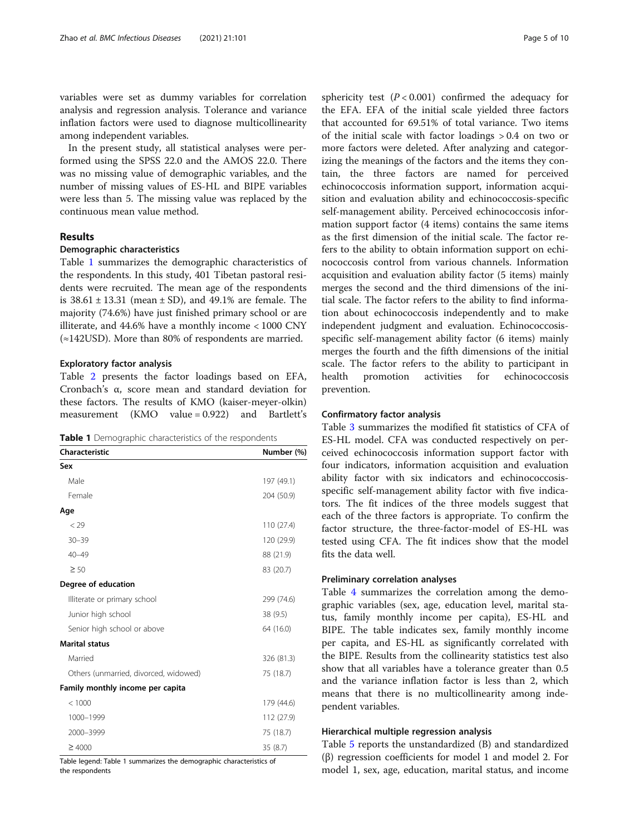variables were set as dummy variables for correlation analysis and regression analysis. Tolerance and variance inflation factors were used to diagnose multicollinearity among independent variables.

In the present study, all statistical analyses were performed using the SPSS 22.0 and the AMOS 22.0. There was no missing value of demographic variables, and the number of missing values of ES-HL and BIPE variables were less than 5. The missing value was replaced by the continuous mean value method.

## Results

#### Demographic characteristics

Table 1 summarizes the demographic characteristics of the respondents. In this study, 401 Tibetan pastoral residents were recruited. The mean age of the respondents is  $38.61 \pm 13.31$  (mean  $\pm$  SD), and 49.1% are female. The majority (74.6%) have just finished primary school or are illiterate, and 44.6% have a monthly income < 1000 CNY (≈142USD). More than 80% of respondents are married.

#### Exploratory factor analysis

Table [2](#page-5-0) presents the factor loadings based on EFA, Cronbach's α, score mean and standard deviation for these factors. The results of KMO (kaiser-meyer-olkin) measurement (KMO value = 0.922) and Bartlett's

|  |  |  |  | <b>Table 1</b> Demographic characteristics of the respondents |  |  |  |  |
|--|--|--|--|---------------------------------------------------------------|--|--|--|--|
|--|--|--|--|---------------------------------------------------------------|--|--|--|--|

| Characteristic                        | Number (%) |
|---------------------------------------|------------|
| Sex                                   |            |
| Male                                  | 197 (49.1) |
| Female                                | 204 (50.9) |
| Age                                   |            |
| $<$ 29                                | 110 (27.4) |
| $30 - 39$                             | 120 (29.9) |
| $40 - 49$                             | 88 (21.9)  |
| $\geq 50$                             | 83 (20.7)  |
| Degree of education                   |            |
| Illiterate or primary school          | 299 (74.6) |
| Junior high school                    | 38 (9.5)   |
| Senior high school or above           | 64 (16.0)  |
| <b>Marital status</b>                 |            |
| Married                               | 326 (81.3) |
| Others (unmarried, divorced, widowed) | 75 (18.7)  |
| Family monthly income per capita      |            |
| < 1000                                | 179 (44.6) |
| 1000-1999                             | 112 (27.9) |
| 2000-3999                             | 75 (18.7)  |
| $\geq 4000$                           | 35(8.7)    |

Table legend: Table 1 summarizes the demographic characteristics of the respondents

sphericity test  $(P < 0.001)$  confirmed the adequacy for the EFA. EFA of the initial scale yielded three factors that accounted for 69.51% of total variance. Two items of the initial scale with factor loadings > 0.4 on two or more factors were deleted. After analyzing and categorizing the meanings of the factors and the items they contain, the three factors are named for perceived echinococcosis information support, information acquisition and evaluation ability and echinococcosis-specific self-management ability. Perceived echinococcosis information support factor (4 items) contains the same items as the first dimension of the initial scale. The factor refers to the ability to obtain information support on echinococcosis control from various channels. Information acquisition and evaluation ability factor (5 items) mainly merges the second and the third dimensions of the initial scale. The factor refers to the ability to find information about echinococcosis independently and to make independent judgment and evaluation. Echinococcosisspecific self-management ability factor (6 items) mainly merges the fourth and the fifth dimensions of the initial scale. The factor refers to the ability to participant in health promotion activities for echinococcosis prevention.

#### Confirmatory factor analysis

Table [3](#page-5-0) summarizes the modified fit statistics of CFA of ES-HL model. CFA was conducted respectively on perceived echinococcosis information support factor with four indicators, information acquisition and evaluation ability factor with six indicators and echinococcosisspecific self-management ability factor with five indicators. The fit indices of the three models suggest that each of the three factors is appropriate. To confirm the factor structure, the three-factor-model of ES-HL was tested using CFA. The fit indices show that the model fits the data well.

#### Preliminary correlation analyses

Table [4](#page-6-0) summarizes the correlation among the demographic variables (sex, age, education level, marital status, family monthly income per capita), ES-HL and BIPE. The table indicates sex, family monthly income per capita, and ES-HL as significantly correlated with the BIPE. Results from the collinearity statistics test also show that all variables have a tolerance greater than 0.5 and the variance inflation factor is less than 2, which means that there is no multicollinearity among independent variables.

## Hierarchical multiple regression analysis

Table [5](#page-6-0) reports the unstandardized (B) and standardized (β) regression coefficients for model 1 and model 2. For model 1, sex, age, education, marital status, and income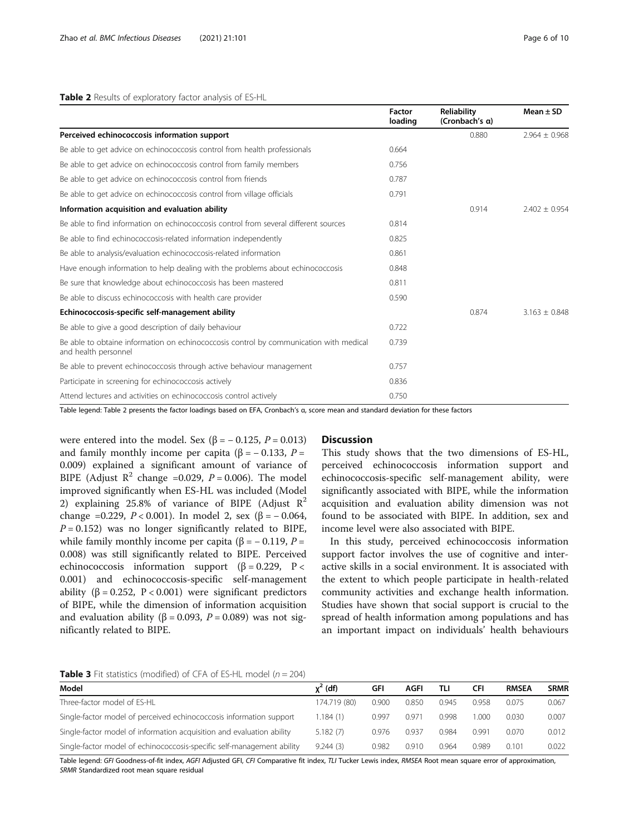#### <span id="page-5-0"></span>Table 2 Results of exploratory factor analysis of ES-HL

|                                                                                                                | <b>Factor</b><br>loading | <b>Reliability</b><br>(Cronbach's a) | Mean $\pm$ SD     |
|----------------------------------------------------------------------------------------------------------------|--------------------------|--------------------------------------|-------------------|
| Perceived echinococcosis information support                                                                   |                          | 0.880                                | $2.964 + 0.968$   |
| Be able to get advice on echinococcosis control from health professionals                                      | 0.664                    |                                      |                   |
| Be able to get advice on echinococcosis control from family members                                            | 0.756                    |                                      |                   |
| Be able to get advice on echinococcosis control from friends                                                   | 0.787                    |                                      |                   |
| Be able to get advice on echinococcosis control from village officials                                         | 0.791                    |                                      |                   |
| Information acquisition and evaluation ability                                                                 |                          | 0.914                                | $2.402 \pm 0.954$ |
| Be able to find information on echinococcosis control from several different sources                           | 0.814                    |                                      |                   |
| Be able to find echinococcosis-related information independently                                               | 0.825                    |                                      |                   |
| Be able to analysis/evaluation echinococcosis-related information                                              | 0.861                    |                                      |                   |
| Have enough information to help dealing with the problems about echinococcosis                                 | 0.848                    |                                      |                   |
| Be sure that knowledge about echinococcosis has been mastered                                                  | 0.811                    |                                      |                   |
| Be able to discuss echinococcosis with health care provider                                                    | 0.590                    |                                      |                   |
| Echinococcosis-specific self-management ability                                                                |                          | 0.874                                | $3.163 \pm 0.848$ |
| Be able to give a good description of daily behaviour                                                          | 0.722                    |                                      |                   |
| Be able to obtaine information on echinococcosis control by communication with medical<br>and health personnel | 0.739                    |                                      |                   |
| Be able to prevent echinococcosis through active behaviour management                                          | 0.757                    |                                      |                   |
| Participate in screening for echinococcosis actively                                                           | 0.836                    |                                      |                   |
| Attend lectures and activities on echinococcosis control actively                                              | 0.750                    |                                      |                   |

Table legend: Table 2 presents the factor loadings based on EFA, Cronbach's α, score mean and standard deviation for these factors

were entered into the model. Sex  $(\beta = -0.125, P = 0.013)$ and family monthly income per capita (β =  $-$  0.133, P = 0.009) explained a significant amount of variance of BIPE (Adjust  $R^2$  change =0.029,  $P = 0.006$ ). The model improved significantly when ES-HL was included (Model 2) explaining 25.8% of variance of BIPE (Adjust  $R^2$ change =0.229,  $P < 0.001$ ). In model 2, sex (β = -0.064,  $P = 0.152$ ) was no longer significantly related to BIPE, while family monthly income per capita ( $\beta$  = -0.119, P = 0.008) was still significantly related to BIPE. Perceived echinococcosis information support  $(\beta = 0.229, P <$ 0.001) and echinococcosis-specific self-management ability ( $β = 0.252$ ,  $P < 0.001$ ) were significant predictors of BIPE, while the dimension of information acquisition and evaluation ability (β = 0.093,  $P = 0.089$ ) was not significantly related to BIPE.

#### **Discussion**

This study shows that the two dimensions of ES-HL, perceived echinococcosis information support and echinococcosis-specific self-management ability, were significantly associated with BIPE, while the information acquisition and evaluation ability dimension was not found to be associated with BIPE. In addition, sex and income level were also associated with BIPE.

In this study, perceived echinococcosis information support factor involves the use of cognitive and interactive skills in a social environment. It is associated with the extent to which people participate in health-related community activities and exchange health information. Studies have shown that social support is crucial to the spread of health information among populations and has an important impact on individuals' health behaviours

**Table 3** Fit statistics (modified) of CFA of ES-HL model ( $n = 204$ )

| Model                                                                  | $x^2$ (df)   | GFI   | AGFI  | TLI   | CFI   | <b>RMSEA</b> | <b>SRMR</b> |
|------------------------------------------------------------------------|--------------|-------|-------|-------|-------|--------------|-------------|
|                                                                        |              |       |       |       |       |              |             |
| Three-factor model of ES-HL                                            | 174.719 (80) | 0.900 | 0.850 | 0.945 | 0.958 | 0.075        | 0.067       |
| Single-factor model of perceived echinococcosis information support    | 1.184(1)     | 0.997 | 0.971 | 0.998 | 1.000 | 0.030        | 0.007       |
| Single-factor model of information acquisition and evaluation ability  | 5.182(7)     | 0.976 | 0.937 | 0.984 | 0.991 | 0.070        | 0.012       |
| Single-factor model of echinococcosis-specific self-management ability | 9.244(3)     | 0.982 | 0.910 | 0.964 | 0.989 | 0.101        | 0.022       |

Table legend: GFI Goodness-of-fit index, AGFI Adjusted GFI, CFI Comparative fit index, TLI Tucker Lewis index, RMSEA Root mean square error of approximation, SRMR Standardized root mean square residual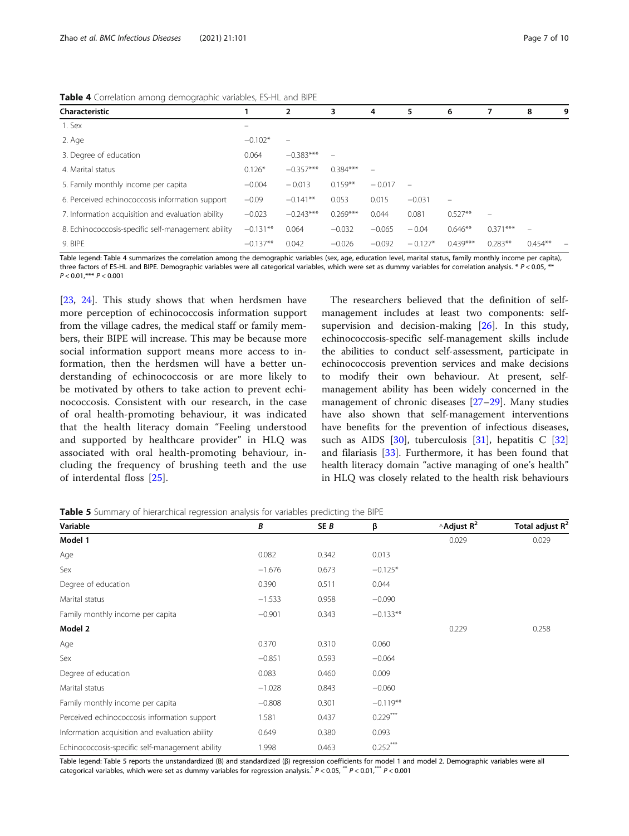| Characteristic                                     |            | 2           | 3          | 4        | 5                        | 6                        |            | 8         | g |
|----------------------------------------------------|------------|-------------|------------|----------|--------------------------|--------------------------|------------|-----------|---|
| 1. Sex                                             | -          |             |            |          |                          |                          |            |           |   |
| 2. Age                                             | $-0.102*$  |             |            |          |                          |                          |            |           |   |
| 3. Degree of education                             | 0.064      | $-0.383***$ |            |          |                          |                          |            |           |   |
| 4. Marital status                                  | $0.126*$   | $-0.357***$ | $0.384***$ |          |                          |                          |            |           |   |
| 5. Family monthly income per capita                | $-0.004$   | $-0.013$    | $0.159**$  | $-0.017$ | $\overline{\phantom{0}}$ |                          |            |           |   |
| 6. Perceived echinococcosis information support    | $-0.09$    | $-0.141**$  | 0.053      | 0.015    | $-0.031$                 | $\overline{\phantom{0}}$ |            |           |   |
| 7. Information acquisition and evaluation ability  | $-0.023$   | $-0.243***$ | $0.269***$ | 0.044    | 0.081                    | $0.527**$                |            |           |   |
| 8. Echinococcosis-specific self-management ability | $-0.131**$ | 0.064       | $-0.032$   | $-0.065$ | $-0.04$                  | $0.646**$                | $0.371***$ |           |   |
| 9. BIPE                                            | $-0.137**$ | 0.042       | $-0.026$   | $-0.092$ | $-0.127*$                | $0.439***$               | $0.283**$  | $0.454**$ |   |

<span id="page-6-0"></span>Table 4 Correlation among demographic variables, ES-HL and BIPE

Table legend: Table 4 summarizes the correlation among the demographic variables (sex, age, education level, marital status, family monthly income per capita), three factors of ES-HL and BIPE. Demographic variables were all categorical variables, which were set as dummy variables for correlation analysis.  $* p < 0.05, *$  $P < 0.01,$ \*\*\*  $P < 0.001$ 

[[23,](#page-8-0) [24\]](#page-8-0). This study shows that when herdsmen have more perception of echinococcosis information support from the village cadres, the medical staff or family members, their BIPE will increase. This may be because more social information support means more access to information, then the herdsmen will have a better understanding of echinococcosis or are more likely to be motivated by others to take action to prevent echinococcosis. Consistent with our research, in the case of oral health-promoting behaviour, it was indicated that the health literacy domain "Feeling understood and supported by healthcare provider" in HLQ was associated with oral health-promoting behaviour, including the frequency of brushing teeth and the use of interdental floss [[25\]](#page-8-0).

The researchers believed that the definition of selfmanagement includes at least two components: selfsupervision and decision-making [\[26\]](#page-8-0). In this study, echinococcosis-specific self-management skills include the abilities to conduct self-assessment, participate in echinococcosis prevention services and make decisions to modify their own behaviour. At present, selfmanagement ability has been widely concerned in the management of chronic diseases [[27](#page-8-0)–[29\]](#page-8-0). Many studies have also shown that self-management interventions have benefits for the prevention of infectious diseases, such as AIDS [[30\]](#page-8-0), tuberculosis [[31](#page-8-0)], hepatitis C [[32](#page-8-0)] and filariasis  $[33]$  $[33]$ . Furthermore, it has been found that health literacy domain "active managing of one's health" in HLQ was closely related to the health risk behaviours

Table 5 Summary of hierarchical regression analysis for variables predicting the BIPE

| Variable                                        | B        | SE B  | β          | $\triangle$ Adjust R <sup>2</sup> | Total adjust $R^2$ |
|-------------------------------------------------|----------|-------|------------|-----------------------------------|--------------------|
| Model 1                                         |          |       |            | 0.029                             | 0.029              |
| Age                                             | 0.082    | 0.342 | 0.013      |                                   |                    |
| Sex                                             | $-1.676$ | 0.673 | $-0.125*$  |                                   |                    |
| Degree of education                             | 0.390    | 0.511 | 0.044      |                                   |                    |
| Marital status                                  | $-1.533$ | 0.958 | $-0.090$   |                                   |                    |
| Family monthly income per capita                | $-0.901$ | 0.343 | $-0.133**$ |                                   |                    |
| Model 2                                         |          |       |            | 0.229                             | 0.258              |
| Age                                             | 0.370    | 0.310 | 0.060      |                                   |                    |
| Sex                                             | $-0.851$ | 0.593 | $-0.064$   |                                   |                    |
| Degree of education                             | 0.083    | 0.460 | 0.009      |                                   |                    |
| Marital status                                  | $-1.028$ | 0.843 | $-0.060$   |                                   |                    |
| Family monthly income per capita                | $-0.808$ | 0.301 | $-0.119**$ |                                   |                    |
| Perceived echinococcosis information support    | 1.581    | 0.437 | $0.229***$ |                                   |                    |
| Information acquisition and evaluation ability  | 0.649    | 0.380 | 0.093      |                                   |                    |
| Echinococcosis-specific self-management ability | 1.998    | 0.463 | $0.252***$ |                                   |                    |

Table legend: Table 5 reports the unstandardized (B) and standardized (β) regression coefficients for model 1 and model 2. Demographic variables were all categorical variables, which were set as dummy variables for regression analysis.\*  $P < 0.05$ , \*\*  $P < 0.01$ ,\*\*\*  $P < 0.001$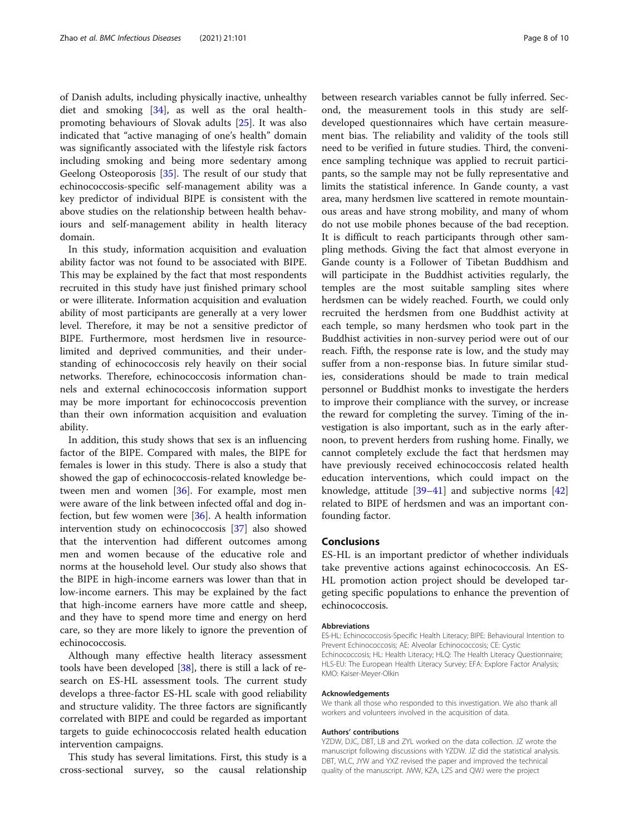of Danish adults, including physically inactive, unhealthy diet and smoking [\[34\]](#page-8-0), as well as the oral healthpromoting behaviours of Slovak adults [\[25\]](#page-8-0). It was also indicated that "active managing of one's health" domain was significantly associated with the lifestyle risk factors including smoking and being more sedentary among Geelong Osteoporosis [\[35](#page-8-0)]. The result of our study that echinococcosis-specific self-management ability was a key predictor of individual BIPE is consistent with the above studies on the relationship between health behaviours and self-management ability in health literacy domain.

In this study, information acquisition and evaluation ability factor was not found to be associated with BIPE. This may be explained by the fact that most respondents recruited in this study have just finished primary school or were illiterate. Information acquisition and evaluation ability of most participants are generally at a very lower level. Therefore, it may be not a sensitive predictor of BIPE. Furthermore, most herdsmen live in resourcelimited and deprived communities, and their understanding of echinococcosis rely heavily on their social networks. Therefore, echinococcosis information channels and external echinococcosis information support may be more important for echinococcosis prevention than their own information acquisition and evaluation ability.

In addition, this study shows that sex is an influencing factor of the BIPE. Compared with males, the BIPE for females is lower in this study. There is also a study that showed the gap of echinococcosis-related knowledge between men and women [\[36\]](#page-8-0). For example, most men were aware of the link between infected offal and dog infection, but few women were [\[36](#page-8-0)]. A health information intervention study on echinococcosis [[37](#page-8-0)] also showed that the intervention had different outcomes among men and women because of the educative role and norms at the household level. Our study also shows that the BIPE in high-income earners was lower than that in low-income earners. This may be explained by the fact that high-income earners have more cattle and sheep, and they have to spend more time and energy on herd care, so they are more likely to ignore the prevention of echinococcosis.

Although many effective health literacy assessment tools have been developed [\[38\]](#page-9-0), there is still a lack of research on ES-HL assessment tools. The current study develops a three-factor ES-HL scale with good reliability and structure validity. The three factors are significantly correlated with BIPE and could be regarded as important targets to guide echinococcosis related health education intervention campaigns.

This study has several limitations. First, this study is a cross-sectional survey, so the causal relationship between research variables cannot be fully inferred. Second, the measurement tools in this study are selfdeveloped questionnaires which have certain measurement bias. The reliability and validity of the tools still need to be verified in future studies. Third, the convenience sampling technique was applied to recruit participants, so the sample may not be fully representative and limits the statistical inference. In Gande county, a vast area, many herdsmen live scattered in remote mountainous areas and have strong mobility, and many of whom do not use mobile phones because of the bad reception. It is difficult to reach participants through other sampling methods. Giving the fact that almost everyone in Gande county is a Follower of Tibetan Buddhism and will participate in the Buddhist activities regularly, the temples are the most suitable sampling sites where herdsmen can be widely reached. Fourth, we could only recruited the herdsmen from one Buddhist activity at each temple, so many herdsmen who took part in the Buddhist activities in non-survey period were out of our reach. Fifth, the response rate is low, and the study may suffer from a non-response bias. In future similar studies, considerations should be made to train medical personnel or Buddhist monks to investigate the herders to improve their compliance with the survey, or increase the reward for completing the survey. Timing of the investigation is also important, such as in the early afternoon, to prevent herders from rushing home. Finally, we cannot completely exclude the fact that herdsmen may have previously received echinococcosis related health education interventions, which could impact on the knowledge, attitude [\[39](#page-9-0)–[41\]](#page-9-0) and subjective norms [[42](#page-9-0)] related to BIPE of herdsmen and was an important confounding factor.

## **Conclusions**

ES-HL is an important predictor of whether individuals take preventive actions against echinococcosis. An ES-HL promotion action project should be developed targeting specific populations to enhance the prevention of echinococcosis.

#### Abbreviations

ES-HL: Echinococcosis-Specific Health Literacy; BIPE: Behavioural Intention to Prevent Echinococcosis; AE: Alveolar Echinococcosis; CE: Cystic Echinococcosis; HL: Health Literacy; HLQ: The Health Literacy Questionnaire; HLS-EU: The European Health Literacy Survey; EFA: Explore Factor Analysis; KMO: Kaiser-Meyer-Olkin

#### Acknowledgements

We thank all those who responded to this investigation. We also thank all workers and volunteers involved in the acquisition of data.

#### Authors' contributions

YZDW, DJC, DBT, LB and ZYL worked on the data collection. JZ wrote the manuscript following discussions with YZDW. JZ did the statistical analysis. DBT, WLC, JYW and YXZ revised the paper and improved the technical quality of the manuscript. JWW, KZA, LZS and QWJ were the project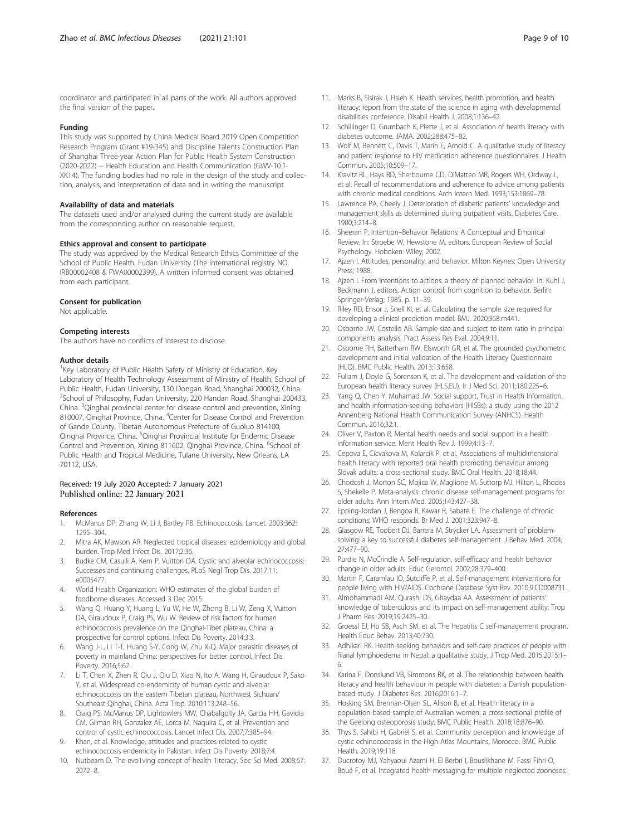<span id="page-8-0"></span>coordinator and participated in all parts of the work. All authors approved the final version of the paper.

#### Funding

This study was supported by China Medical Board 2019 Open Competition Research Program (Grant #19-345) and Discipline Talents Construction Plan of Shanghai Three-year Action Plan for Public Health System Construction (2020-2022) -- Health Education and Health Communication (GWV-10.1- XK14). The funding bodies had no role in the design of the study and collection, analysis, and interpretation of data and in writing the manuscript.

#### Availability of data and materials

The datasets used and/or analysed during the current study are available from the corresponding author on reasonable request.

#### Ethics approval and consent to participate

The study was approved by the Medical Research Ethics Committee of the School of Public Health, Fudan University (The international registry NO. IRB00002408 & FWA00002399). A written informed consent was obtained from each participant.

#### Consent for publication

Not applicable.

#### Competing interests

The authors have no conflicts of interest to disclose.

#### Author details

<sup>1</sup> Key Laboratory of Public Health Safety of Ministry of Education, Key Laboratory of Health Technology Assessment of Ministry of Health, School of Public Health, Fudan University, 130 Dongan Road, Shanghai 200032, China. <sup>2</sup>School of Philosophy, Fudan University, 220 Handan Road, Shanghai 200433, China. <sup>3</sup>Qinghai provincial center for disease control and prevention, Xining 810007, Qinghai Province, China. <sup>4</sup>Center for Disease Control and Prevention of Gande County, Tibetan Autonomous Prefecture of Guoluo 814100, Qinghai Province, China. <sup>5</sup>Qinghai Provincial Institute for Endemic Disease Control and Prevention, Xining 811602, Qinghai Province, China. <sup>6</sup>School of Public Health and Tropical Medicine, Tulane University, New Orleans, LA 70112, USA.

#### Received: 19 July 2020 Accepted: 7 January 2021 Published online: 22 January 2021

#### References

- McManus DP, Zhang W, Li J, Bartley PB. Echinococcosis. Lancet. 2003;362: 1295–304.
- 2. Mitra AK, Mawson AR. Neglected tropical diseases: epidemiology and global burden. Trop Med Infect Dis. 2017;2:36.
- 3. Budke CM, Casulli A, Kern P, Vuitton DA. Cystic and alveolar echinococcosis: Successes and continuing challenges. PLoS Negl Trop Dis. 2017;11: e0005477.
- 4. World Health Organization: WHO estimates of the global burden of foodborne diseases. Accessed 3 Dec 2015.
- 5. Wang Q, Huang Y, Huang L, Yu W, He W, Zhong B, Li W, Zeng X, Vuitton DA, Giraudoux P, Craig PS, Wu W. Review of risk factors for human echinococcosis prevalence on the Qinghai-Tibet plateau, China: a prospective for control options. Infect Dis Poverty. 2014;3:3.
- 6. Wang J-L, Li T-T, Huang S-Y, Cong W, Zhu X-Q. Major parasitic diseases of poverty in mainland China: perspectives for better control. Infect Dis Poverty. 2016;5:67.
- 7. Li T, Chen X, Zhen R, Qiu J, Qiu D, Xiao N, Ito A, Wang H, Giraudoux P, Sako Y, et al. Widespread co-endemicity of human cystic and alveolar echinococcosis on the eastern Tibetan plateau, Northwest Sichuan/ Southeast Qinghai, China. Acta Trop. 2010;113:248–56.
- 8. Craig PS, McManus DP, Lightowlers MW, Chabalgoity JA, Garcia HH, Gavidia CM, Gilman RH, Gonzalez AE, Lorca M, Naquira C, et al. Prevention and control of cystic echinococcosis. Lancet Infect Dis. 2007;7:385–94.
- Khan, et al. Knowledge, attitudes and practices related to cystic echinococcosis endemicity in Pakistan. Infect Dis Poverty. 2018;7:4.
- 10. Nutbeam D. The evo1ving concept of health 1iteracy. Soc Sci Med. 2008;67: 2072–8.
- 11. Marks B, Sisirak J, Hsieh K. Health services, health promotion, and health literacy: report from the state of the science in aging with developmental disabilities conference. Disabil Health J. 2008;1:136–42.
- 12. Schillinger D, Grumbach K, Piette J, et al. Association of health literacy with diabetes outcome. JAMA. 2002;288:475–82.
- 13. Wolf M, Bennett C, Davis T, Marin E, Arnold C. A qualitative study of literacy and patient response to HIV medication adherence questionnaires. J Health Commun. 2005;10:509–17.
- 14. Kravitz RL, Hays RD, Sherbourne CD, DiMatteo MR, Rogers WH, Ordway L, et al. Recall of recommendations and adherence to advice among patients with chronic medical conditions. Arch Intern Med. 1993;153:1869–78.
- 15. Lawrence PA, Cheely J. Deterioration of diabetic patients' knowledge and management skills as determined during outpatient visits. Diabetes Care. 1980;3:214–8.
- 16. Sheeran P. Intention–Behavior Relations: A Conceptual and Empirical Review. In: Stroebe W, Hewstone M, editors. European Review of Social Psychology. Hoboken: Wiley; 2002.
- 17. Ajzen I. Attitudes, personality, and behavior. Milton Keynes: Open University Press; 1988.
- 18. Ajzen I. From intentions to actions: a theory of planned behavior. In: Kuhl J, Beckmann J, editors. Action control: from cognition to behavior. Berlin: Springer-Verlag; 1985. p. 11–39.
- 19. Riley RD, Ensor J, Snell KI, et al. Calculating the sample size required for developing a clinical prediction model. BMJ. 2020;368:m441.
- 20. Osborne JW, Costello AB. Sample size and subject to item ratio in principal components analysis. Pract Assess Res Eval. 2004;9:11.
- 21. Osborne RH, Batterham RW, Elsworth GR, et al. The grounded psychometric development and initial validation of the Health Literacy Questionnaire (HLQ). BMC Public Health. 2013;13:658.
- 22. Fullam J, Doyle G, Sorensen K, et al. The development and validation of the European health literacy survey (HLS.EU). Ir J Med Sci. 2011;180:225–6.
- 23. Yang Q, Chen Y, Muhamad JW. Social support, Trust in Health Information, and health information-seeking behaviors (HISBs): a study using the 2012 Annenberg National Health Communication Survey (ANHCS). Health Commun. 2016;32:1.
- 24. Oliver V, Paxton R. Mental health needs and social support in a health information service. Ment Health Rev J. 1999;4:13–7.
- 25. Cepova E, Cicvakova M, Kolarcik P, et al. Associations of multidimensional health literacy with reported oral health promoting behaviour among Slovak adults: a cross-sectional study. BMC Oral Health. 2018;18:44.
- 26. Chodosh J, Morton SC, Mojica W, Maglione M, Suttorp MJ, Hilton L, Rhodes S, Shekelle P. Meta-analysis: chronic disease self-management programs for older adults. Ann Intern Med. 2005;143:427–38.
- 27. Epping-Jordan J, Bengoa R, Kawar R, Sabaté E. The challenge of chronic conditions: WHO responds. Br Med J. 2001;323:947–8.
- 28. Glasgow RE, Toobert DJ, Barrera M, Strycker LA. Assessment of problemsolving: a key to successful diabetes self-management. J Behav Med. 2004; 27:477–90.
- 29. Purdie N, McCrindle A. Self-regulation, self-efficacy and health behavior change in older adults. Educ Gerontol. 2002;28:379–400.
- 30. Martin F, Caramlau IO, Sutcliffe P, et al. Self-management interventions for people living with HIV/AIDS. Cochrane Database Syst Rev. 2010;9:CD008731.
- 31. Almohammadi AM, Qurashi DS, Ghaydaa AA. Assessment of patients' knowledge of tuberculosis and its impact on self-management ability. Trop J Pharm Res. 2019;19:2425–30.
- 32. Groessl EJ, Ho SB, Asch SM, et al. The hepatitis C self-management program. Health Educ Behav. 2013;40:730.
- 33. Adhikari RK. Health-seeking behaviors and self-care practices of people with filarial lymphoedema in Nepal: a qualitative study. J Trop Med. 2015;2015:1– 6.
- 34. Karina F, Donslund VB, Simmons RK, et al. The relationship between health literacy and health behaviour in people with diabetes: a Danish populationbased study. J Diabetes Res. 2016;2016:1–7.
- 35. Hosking SM, Brennan-Olsen SL, Alison B, et al. Health literacy in a population-based sample of Australian women: a cross-sectional profile of the Geelong osteoporosis study. BMC Public Health. 2018;18:876–90.
- 36. Thys S, Sahibi H, Gabriël S, et al. Community perception and knowledge of cystic echinococcosis in the High Atlas Mountains, Morocco. BMC Public Health. 2019;19:118.
- 37. Ducrotoy MJ, Yahyaoui Azami H, El Berbri I, Bouslikhane M, Fassi Fihri O, Boué F, et al. Integrated health messaging for multiple neglected zoonoses: